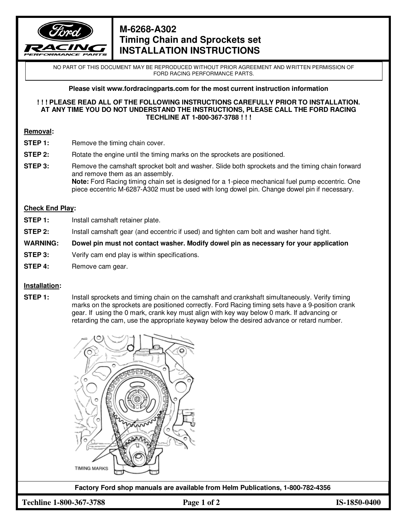

# **M-6268-A302 Timing Chain and Sprockets set INSTALLATION INSTRUCTIONS**

NO PART OF THIS DOCUMENT MAY BE REPRODUCED WITHOUT PRIOR AGREEMENT AND WRITTEN PERMISSION OF FORD RACING PERFORMANCE PARTS.

**Please visit www.fordracingparts.com for the most current instruction information** 

#### **! ! ! PLEASE READ ALL OF THE FOLLOWING INSTRUCTIONS CAREFULLY PRIOR TO INSTALLATION. AT ANY TIME YOU DO NOT UNDERSTAND THE INSTRUCTIONS, PLEASE CALL THE FORD RACING TECHLINE AT 1-800-367-3788 ! ! !**

#### **Removal:**

- **STEP 1:** Remove the timing chain cover.
- **STEP 2:** Rotate the engine until the timing marks on the sprockets are positioned.
- **STEP 3:** Remove the camshaft sprocket bolt and washer. Slide both sprockets and the timing chain forward and remove them as an assembly.  **Note:** Ford Racing timing chain set is designed for a 1-piece mechanical fuel pump eccentric. One piece eccentric M-6287-A302 must be used with long dowel pin. Change dowel pin if necessary.

## **Check End Play:**

- **STEP 1:** Install camshaft retainer plate.
- **STEP 2:** Install camshaft gear (and eccentric if used) and tighten cam bolt and washer hand tight.

#### **WARNING: Dowel pin must not contact washer. Modify dowel pin as necessary for your application**

- **STEP 3:** Verify cam end play is within specifications.
- **STEP 4:** Remove cam gear.

### **Installation:**

**STEP 1:** Install sprockets and timing chain on the camshaft and crankshaft simultaneously. Verify timing marks on the sprockets are positioned correctly. Ford Racing timing sets have a 9-position crank gear. If using the 0 mark, crank key must align with key way below 0 mark. If advancing or retarding the cam, use the appropriate keyway below the desired advance or retard number.



**Factory Ford shop manuals are available from Helm Publications, 1-800-782-4356**